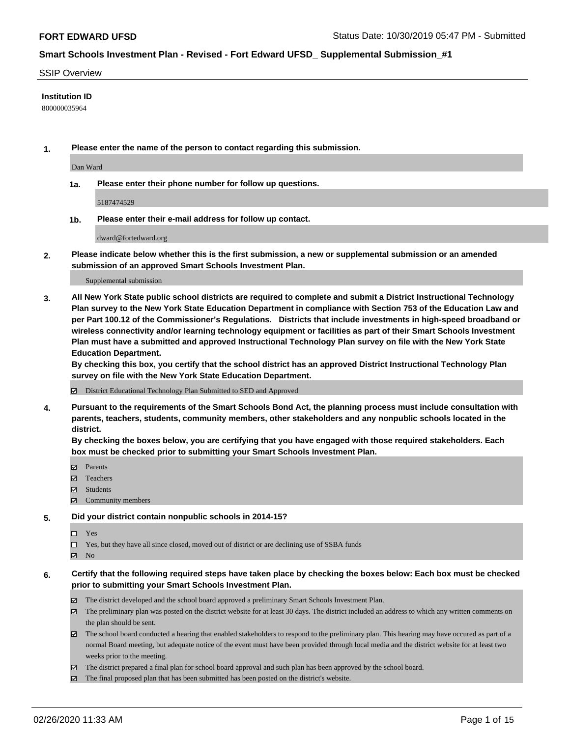#### SSIP Overview

#### **Institution ID**

800000035964

**1. Please enter the name of the person to contact regarding this submission.**

Dan Ward

**1a. Please enter their phone number for follow up questions.**

5187474529

**1b. Please enter their e-mail address for follow up contact.**

dward@fortedward.org

**2. Please indicate below whether this is the first submission, a new or supplemental submission or an amended submission of an approved Smart Schools Investment Plan.**

#### Supplemental submission

**3. All New York State public school districts are required to complete and submit a District Instructional Technology Plan survey to the New York State Education Department in compliance with Section 753 of the Education Law and per Part 100.12 of the Commissioner's Regulations. Districts that include investments in high-speed broadband or wireless connectivity and/or learning technology equipment or facilities as part of their Smart Schools Investment Plan must have a submitted and approved Instructional Technology Plan survey on file with the New York State Education Department.** 

**By checking this box, you certify that the school district has an approved District Instructional Technology Plan survey on file with the New York State Education Department.**

District Educational Technology Plan Submitted to SED and Approved

**4. Pursuant to the requirements of the Smart Schools Bond Act, the planning process must include consultation with parents, teachers, students, community members, other stakeholders and any nonpublic schools located in the district.** 

**By checking the boxes below, you are certifying that you have engaged with those required stakeholders. Each box must be checked prior to submitting your Smart Schools Investment Plan.**

- **マ** Parents
- Teachers
- Students
- Community members

#### **5. Did your district contain nonpublic schools in 2014-15?**

 $\neg$  Yes

Yes, but they have all since closed, moved out of district or are declining use of SSBA funds

**Z** No

### **6. Certify that the following required steps have taken place by checking the boxes below: Each box must be checked prior to submitting your Smart Schools Investment Plan.**

- The district developed and the school board approved a preliminary Smart Schools Investment Plan.
- $\boxtimes$  The preliminary plan was posted on the district website for at least 30 days. The district included an address to which any written comments on the plan should be sent.
- $\boxtimes$  The school board conducted a hearing that enabled stakeholders to respond to the preliminary plan. This hearing may have occured as part of a normal Board meeting, but adequate notice of the event must have been provided through local media and the district website for at least two weeks prior to the meeting.
- The district prepared a final plan for school board approval and such plan has been approved by the school board.
- $\boxtimes$  The final proposed plan that has been submitted has been posted on the district's website.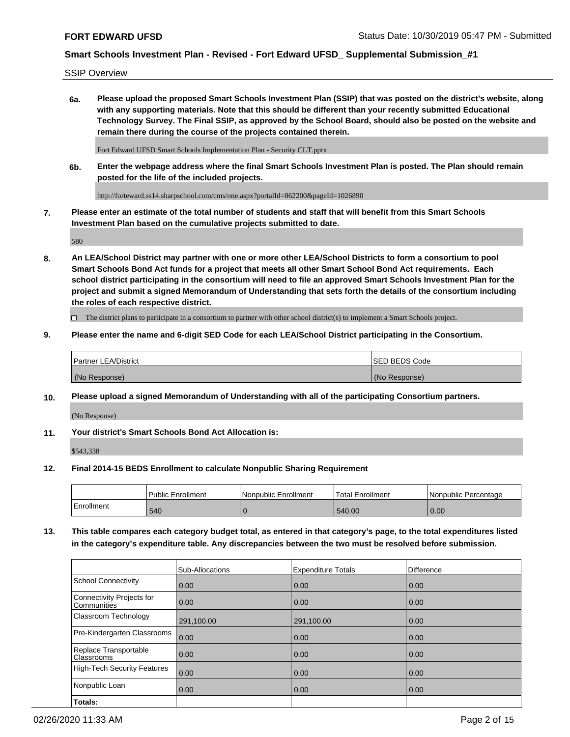SSIP Overview

**6a. Please upload the proposed Smart Schools Investment Plan (SSIP) that was posted on the district's website, along with any supporting materials. Note that this should be different than your recently submitted Educational Technology Survey. The Final SSIP, as approved by the School Board, should also be posted on the website and remain there during the course of the projects contained therein.**

Fort Edward UFSD Smart Schools Implementation Plan - Security CLT.pptx

**6b. Enter the webpage address where the final Smart Schools Investment Plan is posted. The Plan should remain posted for the life of the included projects.**

http://forteward.ss14.sharpschool.com/cms/one.aspx?portalId=862200&pageId=1026890

**7. Please enter an estimate of the total number of students and staff that will benefit from this Smart Schools Investment Plan based on the cumulative projects submitted to date.**

580

**8. An LEA/School District may partner with one or more other LEA/School Districts to form a consortium to pool Smart Schools Bond Act funds for a project that meets all other Smart School Bond Act requirements. Each school district participating in the consortium will need to file an approved Smart Schools Investment Plan for the project and submit a signed Memorandum of Understanding that sets forth the details of the consortium including the roles of each respective district.**

 $\Box$  The district plans to participate in a consortium to partner with other school district(s) to implement a Smart Schools project.

### **9. Please enter the name and 6-digit SED Code for each LEA/School District participating in the Consortium.**

| Partner LEA/District | <b>ISED BEDS Code</b> |
|----------------------|-----------------------|
| (No Response)        | (No Response)         |

### **10. Please upload a signed Memorandum of Understanding with all of the participating Consortium partners.**

(No Response)

**11. Your district's Smart Schools Bond Act Allocation is:**

\$543,338

#### **12. Final 2014-15 BEDS Enrollment to calculate Nonpublic Sharing Requirement**

|            | <b>Public Enrollment</b> | Nonpublic Enrollment | <b>Total Enrollment</b> | l Nonpublic Percentage |
|------------|--------------------------|----------------------|-------------------------|------------------------|
| Enrollment | 540                      |                      | 540.00                  | 0.00                   |

**13. This table compares each category budget total, as entered in that category's page, to the total expenditures listed in the category's expenditure table. Any discrepancies between the two must be resolved before submission.**

|                                          | Sub-Allocations | <b>Expenditure Totals</b> | <b>Difference</b> |
|------------------------------------------|-----------------|---------------------------|-------------------|
| <b>School Connectivity</b>               | 0.00            | 0.00                      | 0.00              |
| Connectivity Projects for<br>Communities | 0.00            | 0.00                      | 0.00              |
| Classroom Technology                     | 291,100.00      | 291,100.00                | 0.00              |
| Pre-Kindergarten Classrooms              | 0.00            | 0.00                      | 0.00              |
| Replace Transportable<br>Classrooms      | 0.00            | 0.00                      | 0.00              |
| High-Tech Security Features              | 0.00            | 0.00                      | 0.00              |
| Nonpublic Loan                           | 0.00            | 0.00                      | 0.00              |
| Totals:                                  |                 |                           |                   |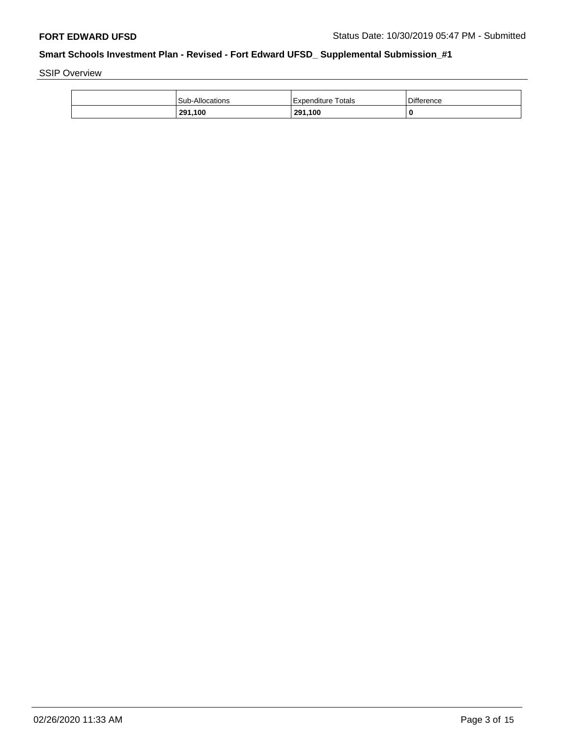SSIP Overview

| <b>Sub-Allocations</b> | Expenditure Totals | <b>Difference</b> |
|------------------------|--------------------|-------------------|
| 291,100                | 291,100            | 0                 |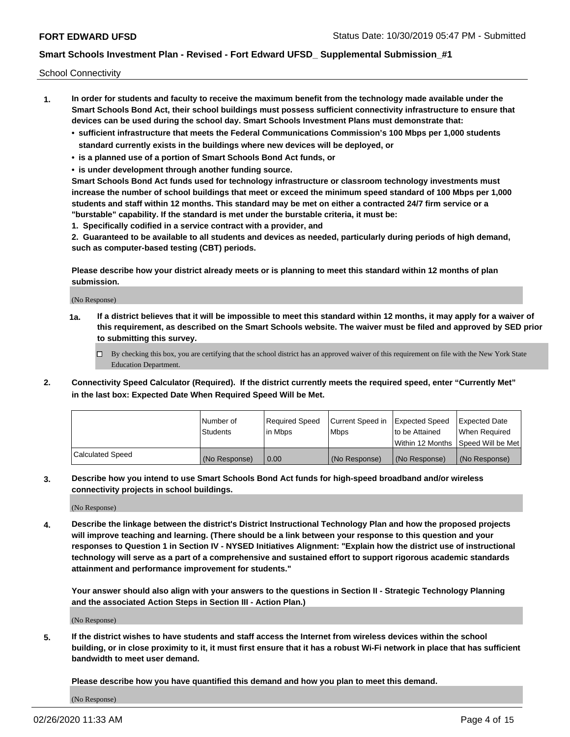School Connectivity

- **1. In order for students and faculty to receive the maximum benefit from the technology made available under the Smart Schools Bond Act, their school buildings must possess sufficient connectivity infrastructure to ensure that devices can be used during the school day. Smart Schools Investment Plans must demonstrate that:**
	- **• sufficient infrastructure that meets the Federal Communications Commission's 100 Mbps per 1,000 students standard currently exists in the buildings where new devices will be deployed, or**
	- **• is a planned use of a portion of Smart Schools Bond Act funds, or**
	- **• is under development through another funding source.**

**Smart Schools Bond Act funds used for technology infrastructure or classroom technology investments must increase the number of school buildings that meet or exceed the minimum speed standard of 100 Mbps per 1,000 students and staff within 12 months. This standard may be met on either a contracted 24/7 firm service or a "burstable" capability. If the standard is met under the burstable criteria, it must be:**

**1. Specifically codified in a service contract with a provider, and**

**2. Guaranteed to be available to all students and devices as needed, particularly during periods of high demand, such as computer-based testing (CBT) periods.**

**Please describe how your district already meets or is planning to meet this standard within 12 months of plan submission.**

(No Response)

**1a. If a district believes that it will be impossible to meet this standard within 12 months, it may apply for a waiver of this requirement, as described on the Smart Schools website. The waiver must be filed and approved by SED prior to submitting this survey.**

 $\Box$  By checking this box, you are certifying that the school district has an approved waiver of this requirement on file with the New York State Education Department.

**2. Connectivity Speed Calculator (Required). If the district currently meets the required speed, enter "Currently Met" in the last box: Expected Date When Required Speed Will be Met.**

|                  | l Number of     | Required Speed | Current Speed in | Expected Speed | Expected Date                        |
|------------------|-----------------|----------------|------------------|----------------|--------------------------------------|
|                  | <b>Students</b> | In Mbps        | <b>Mbps</b>      | to be Attained | When Required                        |
|                  |                 |                |                  |                | Within 12 Months 1Speed Will be Met1 |
| Calculated Speed | (No Response)   | 0.00           | (No Response)    | (No Response)  | l (No Response)                      |

**3. Describe how you intend to use Smart Schools Bond Act funds for high-speed broadband and/or wireless connectivity projects in school buildings.**

(No Response)

**4. Describe the linkage between the district's District Instructional Technology Plan and how the proposed projects will improve teaching and learning. (There should be a link between your response to this question and your responses to Question 1 in Section IV - NYSED Initiatives Alignment: "Explain how the district use of instructional technology will serve as a part of a comprehensive and sustained effort to support rigorous academic standards attainment and performance improvement for students."** 

**Your answer should also align with your answers to the questions in Section II - Strategic Technology Planning and the associated Action Steps in Section III - Action Plan.)**

(No Response)

**5. If the district wishes to have students and staff access the Internet from wireless devices within the school building, or in close proximity to it, it must first ensure that it has a robust Wi-Fi network in place that has sufficient bandwidth to meet user demand.**

**Please describe how you have quantified this demand and how you plan to meet this demand.**

(No Response)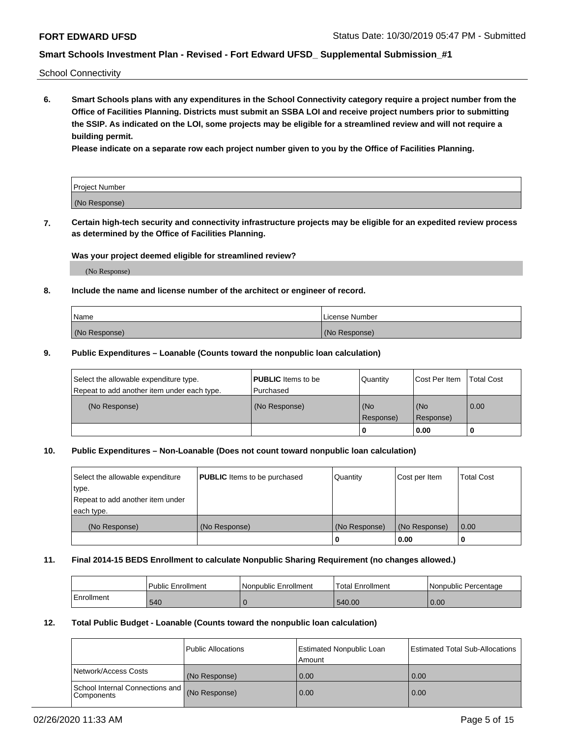School Connectivity

**6. Smart Schools plans with any expenditures in the School Connectivity category require a project number from the Office of Facilities Planning. Districts must submit an SSBA LOI and receive project numbers prior to submitting the SSIP. As indicated on the LOI, some projects may be eligible for a streamlined review and will not require a building permit.**

**Please indicate on a separate row each project number given to you by the Office of Facilities Planning.**

| Project Number |  |
|----------------|--|
| (No Response)  |  |

**7. Certain high-tech security and connectivity infrastructure projects may be eligible for an expedited review process as determined by the Office of Facilities Planning.**

### **Was your project deemed eligible for streamlined review?**

(No Response)

### **8. Include the name and license number of the architect or engineer of record.**

| Name          | License Number |
|---------------|----------------|
| (No Response) | (No Response)  |

#### **9. Public Expenditures – Loanable (Counts toward the nonpublic loan calculation)**

| Select the allowable expenditure type.<br>Repeat to add another item under each type. | <b>PUBLIC</b> Items to be<br>l Purchased | Quantity           | Cost Per Item    | <b>Total Cost</b> |
|---------------------------------------------------------------------------------------|------------------------------------------|--------------------|------------------|-------------------|
| (No Response)                                                                         | (No Response)                            | l (No<br>Response) | (No<br>Response) | $\overline{0.00}$ |
|                                                                                       |                                          | O                  | 0.00             |                   |

## **10. Public Expenditures – Non-Loanable (Does not count toward nonpublic loan calculation)**

| Select the allowable expenditure<br>type.<br>Repeat to add another item under<br>each type. | <b>PUBLIC</b> Items to be purchased | Quantity      | Cost per Item | <b>Total Cost</b> |
|---------------------------------------------------------------------------------------------|-------------------------------------|---------------|---------------|-------------------|
| (No Response)                                                                               | (No Response)                       | (No Response) | (No Response) | 0.00              |
|                                                                                             |                                     |               | 0.00          |                   |

#### **11. Final 2014-15 BEDS Enrollment to calculate Nonpublic Sharing Requirement (no changes allowed.)**

|            | Public Enrollment | l Nonpublic Enrollment | <b>Total Enrollment</b> | Nonpublic Percentage |
|------------|-------------------|------------------------|-------------------------|----------------------|
| Enrollment | 540               |                        | 540.00                  | 0.00                 |

### **12. Total Public Budget - Loanable (Counts toward the nonpublic loan calculation)**

|                                                      | Public Allocations | <b>Estimated Nonpublic Loan</b><br>Amount | Estimated Total Sub-Allocations |
|------------------------------------------------------|--------------------|-------------------------------------------|---------------------------------|
| Network/Access Costs                                 | (No Response)      | 0.00                                      | 0.00                            |
| School Internal Connections and<br><b>Components</b> | (No Response)      | 0.00                                      | 0.00                            |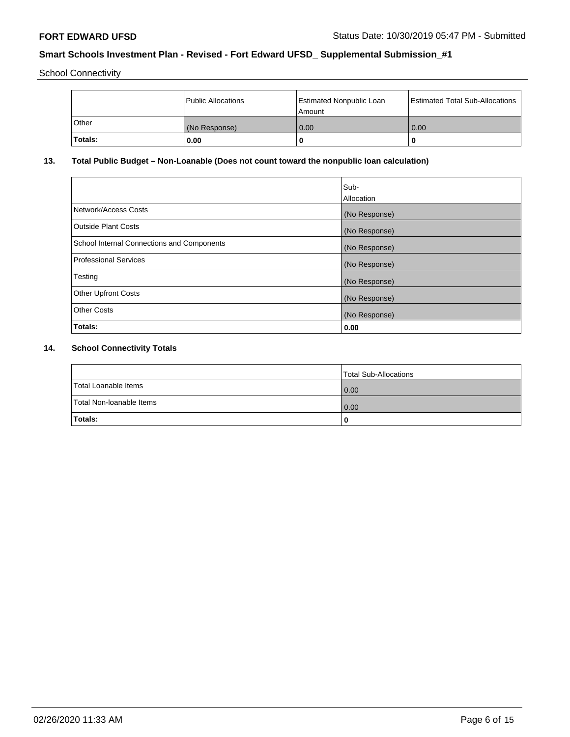School Connectivity

|         | Public Allocations | Estimated Nonpublic Loan<br>l Amount i | Estimated Total Sub-Allocations |
|---------|--------------------|----------------------------------------|---------------------------------|
| l Other | (No Response)      | 0.00                                   | 0.00                            |
| Totals: | 0.00               | 0                                      | 0                               |

# **13. Total Public Budget – Non-Loanable (Does not count toward the nonpublic loan calculation)**

|                                                   | Sub-<br>Allocation |
|---------------------------------------------------|--------------------|
|                                                   |                    |
| Network/Access Costs                              | (No Response)      |
| <b>Outside Plant Costs</b>                        | (No Response)      |
| <b>School Internal Connections and Components</b> | (No Response)      |
| Professional Services                             | (No Response)      |
| Testing                                           | (No Response)      |
| <b>Other Upfront Costs</b>                        | (No Response)      |
| <b>Other Costs</b>                                | (No Response)      |
| <b>Totals:</b>                                    | 0.00               |

# **14. School Connectivity Totals**

|                          | Total Sub-Allocations |
|--------------------------|-----------------------|
| Total Loanable Items     | 0.00                  |
| Total Non-Ioanable Items | 0.00                  |
| Totals:                  | 0                     |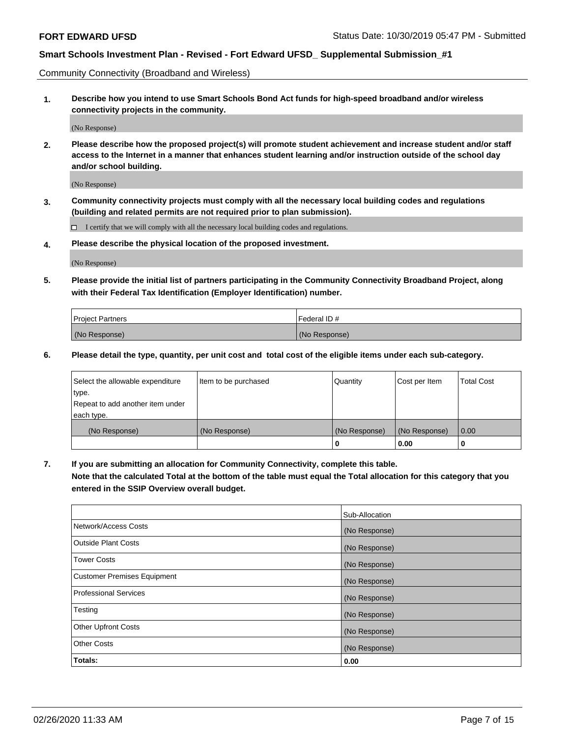Community Connectivity (Broadband and Wireless)

**1. Describe how you intend to use Smart Schools Bond Act funds for high-speed broadband and/or wireless connectivity projects in the community.**

(No Response)

**2. Please describe how the proposed project(s) will promote student achievement and increase student and/or staff access to the Internet in a manner that enhances student learning and/or instruction outside of the school day and/or school building.**

(No Response)

**3. Community connectivity projects must comply with all the necessary local building codes and regulations (building and related permits are not required prior to plan submission).**

 $\Box$  I certify that we will comply with all the necessary local building codes and regulations.

**4. Please describe the physical location of the proposed investment.**

(No Response)

**5. Please provide the initial list of partners participating in the Community Connectivity Broadband Project, along with their Federal Tax Identification (Employer Identification) number.**

| <b>Project Partners</b> | l Federal ID # |
|-------------------------|----------------|
| (No Response)           | (No Response)  |

**6. Please detail the type, quantity, per unit cost and total cost of the eligible items under each sub-category.**

| Select the allowable expenditure | Item to be purchased | Quantity      | Cost per Item | <b>Total Cost</b> |
|----------------------------------|----------------------|---------------|---------------|-------------------|
| type.                            |                      |               |               |                   |
| Repeat to add another item under |                      |               |               |                   |
| each type.                       |                      |               |               |                   |
| (No Response)                    | (No Response)        | (No Response) | (No Response) | 0.00              |
|                                  |                      | o             | 0.00          |                   |

**7. If you are submitting an allocation for Community Connectivity, complete this table.**

**Note that the calculated Total at the bottom of the table must equal the Total allocation for this category that you entered in the SSIP Overview overall budget.**

|                                    | Sub-Allocation |
|------------------------------------|----------------|
| Network/Access Costs               | (No Response)  |
| Outside Plant Costs                | (No Response)  |
| <b>Tower Costs</b>                 | (No Response)  |
| <b>Customer Premises Equipment</b> | (No Response)  |
| <b>Professional Services</b>       | (No Response)  |
| Testing                            | (No Response)  |
| <b>Other Upfront Costs</b>         | (No Response)  |
| <b>Other Costs</b>                 | (No Response)  |
| Totals:                            | 0.00           |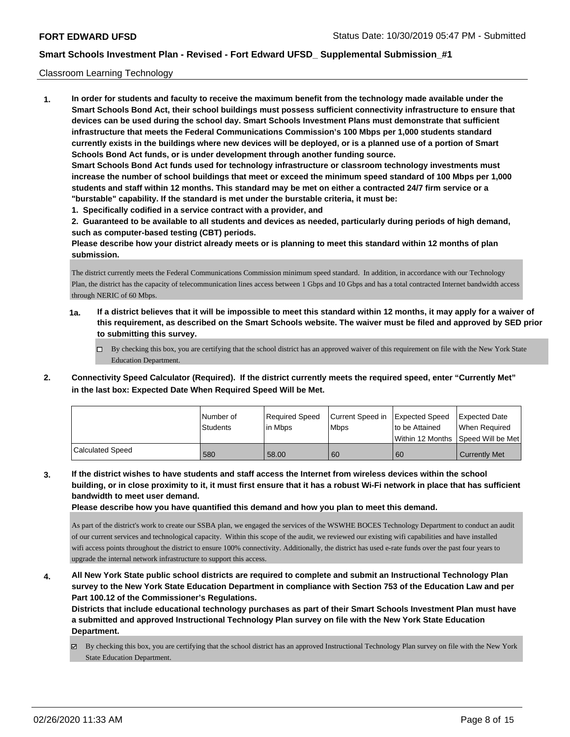#### Classroom Learning Technology

**1. In order for students and faculty to receive the maximum benefit from the technology made available under the Smart Schools Bond Act, their school buildings must possess sufficient connectivity infrastructure to ensure that devices can be used during the school day. Smart Schools Investment Plans must demonstrate that sufficient infrastructure that meets the Federal Communications Commission's 100 Mbps per 1,000 students standard currently exists in the buildings where new devices will be deployed, or is a planned use of a portion of Smart Schools Bond Act funds, or is under development through another funding source. Smart Schools Bond Act funds used for technology infrastructure or classroom technology investments must increase the number of school buildings that meet or exceed the minimum speed standard of 100 Mbps per 1,000 students and staff within 12 months. This standard may be met on either a contracted 24/7 firm service or a "burstable" capability. If the standard is met under the burstable criteria, it must be:**

**1. Specifically codified in a service contract with a provider, and**

**2. Guaranteed to be available to all students and devices as needed, particularly during periods of high demand, such as computer-based testing (CBT) periods.**

**Please describe how your district already meets or is planning to meet this standard within 12 months of plan submission.**

The district currently meets the Federal Communications Commission minimum speed standard. In addition, in accordance with our Technology Plan, the district has the capacity of telecommunication lines access between 1 Gbps and 10 Gbps and has a total contracted Internet bandwidth access through NERIC of 60 Mbps.

- **1a. If a district believes that it will be impossible to meet this standard within 12 months, it may apply for a waiver of this requirement, as described on the Smart Schools website. The waiver must be filed and approved by SED prior to submitting this survey.**
	- By checking this box, you are certifying that the school district has an approved waiver of this requirement on file with the New York State Education Department.
- **2. Connectivity Speed Calculator (Required). If the district currently meets the required speed, enter "Currently Met" in the last box: Expected Date When Required Speed Will be Met.**

|                  | l Number of | Required Speed | Current Speed in | <b>Expected Speed</b> | Expected Date        |
|------------------|-------------|----------------|------------------|-----------------------|----------------------|
|                  | Students    | lin Mbps       | <b>Mbps</b>      | to be Attained        | When Reauired        |
|                  |             |                |                  | l Within 12 Months    | Speed Will be Met    |
| Calculated Speed | 580         | 58.00          | 60               | 60                    | <b>Currently Met</b> |

**3. If the district wishes to have students and staff access the Internet from wireless devices within the school building, or in close proximity to it, it must first ensure that it has a robust Wi-Fi network in place that has sufficient bandwidth to meet user demand.**

**Please describe how you have quantified this demand and how you plan to meet this demand.**

As part of the district's work to create our SSBA plan, we engaged the services of the WSWHE BOCES Technology Department to conduct an audit of our current services and technological capacity. Within this scope of the audit, we reviewed our existing wifi capabilities and have installed wifi access points throughout the district to ensure 100% connectivity. Additionally, the district has used e-rate funds over the past four years to upgrade the internal network infrastructure to support this access.

**4. All New York State public school districts are required to complete and submit an Instructional Technology Plan survey to the New York State Education Department in compliance with Section 753 of the Education Law and per Part 100.12 of the Commissioner's Regulations.**

**Districts that include educational technology purchases as part of their Smart Schools Investment Plan must have a submitted and approved Instructional Technology Plan survey on file with the New York State Education Department.**

 $\boxtimes$  By checking this box, you are certifying that the school district has an approved Instructional Technology Plan survey on file with the New York State Education Department.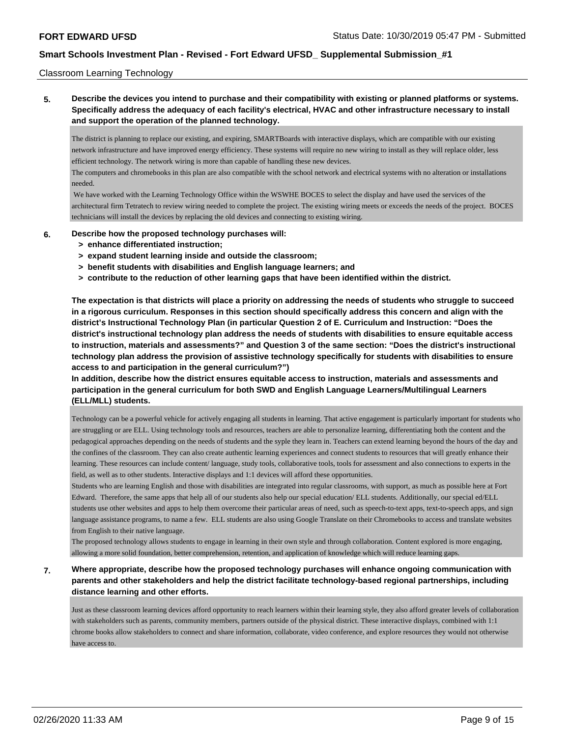#### Classroom Learning Technology

**5. Describe the devices you intend to purchase and their compatibility with existing or planned platforms or systems. Specifically address the adequacy of each facility's electrical, HVAC and other infrastructure necessary to install and support the operation of the planned technology.**

The district is planning to replace our existing, and expiring, SMARTBoards with interactive displays, which are compatible with our existing network infrastructure and have improved energy efficiency. These systems will require no new wiring to install as they will replace older, less efficient technology. The network wiring is more than capable of handling these new devices.

The computers and chromebooks in this plan are also compatible with the school network and electrical systems with no alteration or installations needed.

 We have worked with the Learning Technology Office within the WSWHE BOCES to select the display and have used the services of the architectural firm Tetratech to review wiring needed to complete the project. The existing wiring meets or exceeds the needs of the project. BOCES technicians will install the devices by replacing the old devices and connecting to existing wiring.

#### **6. Describe how the proposed technology purchases will:**

- **> enhance differentiated instruction;**
- **> expand student learning inside and outside the classroom;**
- **> benefit students with disabilities and English language learners; and**
- **> contribute to the reduction of other learning gaps that have been identified within the district.**

**The expectation is that districts will place a priority on addressing the needs of students who struggle to succeed in a rigorous curriculum. Responses in this section should specifically address this concern and align with the district's Instructional Technology Plan (in particular Question 2 of E. Curriculum and Instruction: "Does the district's instructional technology plan address the needs of students with disabilities to ensure equitable access to instruction, materials and assessments?" and Question 3 of the same section: "Does the district's instructional technology plan address the provision of assistive technology specifically for students with disabilities to ensure access to and participation in the general curriculum?")**

**In addition, describe how the district ensures equitable access to instruction, materials and assessments and participation in the general curriculum for both SWD and English Language Learners/Multilingual Learners (ELL/MLL) students.**

Technology can be a powerful vehicle for actively engaging all students in learning. That active engagement is particularly important for students who are struggling or are ELL. Using technology tools and resources, teachers are able to personalize learning, differentiating both the content and the pedagogical approaches depending on the needs of students and the syple they learn in. Teachers can extend learning beyond the hours of the day and the confines of the classroom. They can also create authentic learning experiences and connect students to resources that will greatly enhance their learning. These resources can include content/ language, study tools, collaborative tools, tools for assessment and also connections to experts in the field, as well as to other students. Interactive displays and 1:1 devices will afford these opportunities.

Students who are learning English and those with disabilities are integrated into regular classrooms, with support, as much as possible here at Fort Edward. Therefore, the same apps that help all of our students also help our special education/ ELL students. Additionally, our special ed/ELL students use other websites and apps to help them overcome their particular areas of need, such as speech-to-text apps, text-to-speech apps, and sign language assistance programs, to name a few. ELL students are also using Google Translate on their Chromebooks to access and translate websites from English to their native language.

The proposed technology allows students to engage in learning in their own style and through collaboration. Content explored is more engaging, allowing a more solid foundation, better comprehension, retention, and application of knowledge which will reduce learning gaps.

## **7. Where appropriate, describe how the proposed technology purchases will enhance ongoing communication with parents and other stakeholders and help the district facilitate technology-based regional partnerships, including distance learning and other efforts.**

Just as these classroom learning devices afford opportunity to reach learners within their learning style, they also afford greater levels of collaboration with stakeholders such as parents, community members, partners outside of the physical district. These interactive displays, combined with 1:1 chrome books allow stakeholders to connect and share information, collaborate, video conference, and explore resources they would not otherwise have access to.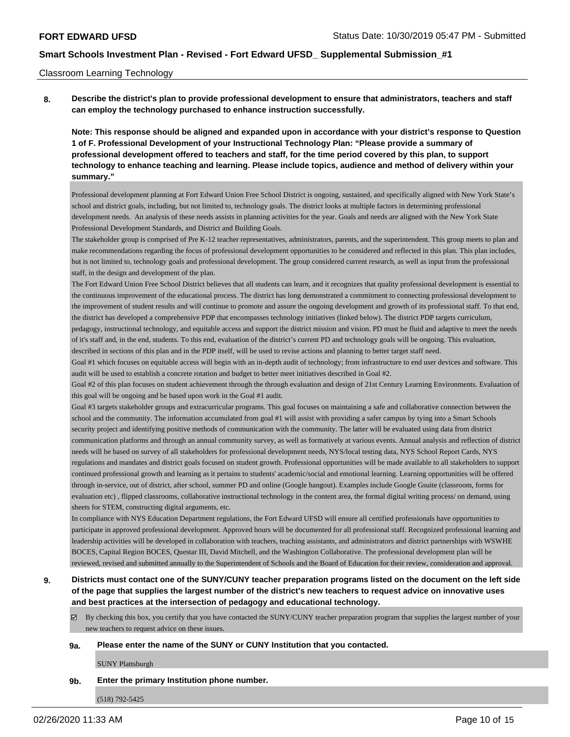#### Classroom Learning Technology

**8. Describe the district's plan to provide professional development to ensure that administrators, teachers and staff can employ the technology purchased to enhance instruction successfully.**

**Note: This response should be aligned and expanded upon in accordance with your district's response to Question 1 of F. Professional Development of your Instructional Technology Plan: "Please provide a summary of professional development offered to teachers and staff, for the time period covered by this plan, to support technology to enhance teaching and learning. Please include topics, audience and method of delivery within your summary."**

Professional development planning at Fort Edward Union Free School District is ongoing, sustained, and specifically aligned with New York State's school and district goals, including, but not limited to, technology goals. The district looks at multiple factors in determining professional development needs. An analysis of these needs assists in planning activities for the year. Goals and needs are aligned with the New York State Professional Development Standards, and District and Building Goals.

The stakeholder group is comprised of Pre K-12 teacher representatives, administrators, parents, and the superintendent. This group meets to plan and make recommendations regarding the focus of professional development opportunities to be considered and reflected in this plan. This plan includes, but is not limited to, technology goals and professional development. The group considered current research, as well as input from the professional staff, in the design and development of the plan.

The Fort Edward Union Free School District believes that all students can learn, and it recognizes that quality professional development is essential to the continuous improvement of the educational process. The district has long demonstrated a commitment to connecting professional development to the improvement of student results and will continue to promote and assure the ongoing development and growth of its professional staff. To that end, the district has developed a comprehensive PDP that encompasses technology initiatives (linked below). The district PDP targets curriculum,

pedagogy, instructional technology, and equitable access and support the district mission and vision. PD must be fluid and adaptive to meet the needs of it's staff and, in the end, students. To this end, evaluation of the district's current PD and technology goals will be ongoing. This evaluation, described in sections of this plan and in the PDP itself, will be used to revise actions and planning to better target staff need.

Goal #1 which focuses on equitable access will begin with an in-depth audit of technology; from infrastructure to end user devices and software. This audit will be used to establish a concrete rotation and budget to better meet initiatives described in Goal #2.

Goal #2 of this plan focuses on student achievement through the through evaluation and design of 21st Century Learning Environments. Evaluation of this goal will be ongoing and be based upon work in the Goal #1 audit.

Goal #3 targets stakeholder groups and extracurricular programs. This goal focuses on maintaining a safe and collaborative connection between the school and the community. The information accumulated from goal #1 will assist with providing a safer campus by tying into a Smart Schools security project and identifying positive methods of communication with the community. The latter will be evaluated using data from district communication platforms and through an annual community survey, as well as formatively at various events. Annual analysis and reflection of district needs will be based on survey of all stakeholders for professional development needs, NYS/local testing data, NYS School Report Cards, NYS regulations and mandates and district goals focused on student growth. Professional opportunities will be made available to all stakeholders to support continued professional growth and learning as it pertains to students' academic/social and emotional learning. Learning opportunities will be offered through in-service, out of district, after school, summer PD and online (Google hangout). Examples include Google Gsuite (classroom, forms for evaluation etc) , flipped classrooms, collaborative instructional technology in the content area, the formal digital writing process/ on demand, using sheets for STEM, constructing digital arguments, etc.

In compliance with NYS Education Department regulations, the Fort Edward UFSD will ensure all certified professionals have opportunities to participate in approved professional development. Approved hours will be documented for all professional staff. Recognized professional learning and leadership activities will be developed in collaboration with teachers, teaching assistants, and administrators and district partnerships with WSWHE BOCES, Capital Region BOCES, Questar III, David Mitchell, and the Washington Collaborative. The professional development plan will be reviewed, revised and submitted annually to the Superintendent of Schools and the Board of Education for their review, consideration and approval.

## **9. Districts must contact one of the SUNY/CUNY teacher preparation programs listed on the document on the left side of the page that supplies the largest number of the district's new teachers to request advice on innovative uses and best practices at the intersection of pedagogy and educational technology.**

By checking this box, you certify that you have contacted the SUNY/CUNY teacher preparation program that supplies the largest number of your new teachers to request advice on these issues.

#### **9a. Please enter the name of the SUNY or CUNY Institution that you contacted.**

SUNY Plattsburgh

#### **9b. Enter the primary Institution phone number.**

(518) 792-5425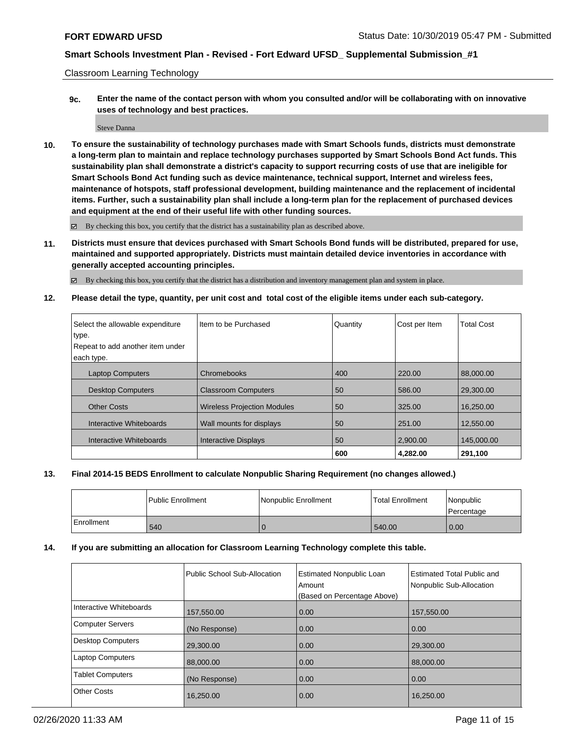Classroom Learning Technology

**9c. Enter the name of the contact person with whom you consulted and/or will be collaborating with on innovative uses of technology and best practices.**

Steve Danna

**10. To ensure the sustainability of technology purchases made with Smart Schools funds, districts must demonstrate a long-term plan to maintain and replace technology purchases supported by Smart Schools Bond Act funds. This sustainability plan shall demonstrate a district's capacity to support recurring costs of use that are ineligible for Smart Schools Bond Act funding such as device maintenance, technical support, Internet and wireless fees, maintenance of hotspots, staff professional development, building maintenance and the replacement of incidental items. Further, such a sustainability plan shall include a long-term plan for the replacement of purchased devices and equipment at the end of their useful life with other funding sources.**

By checking this box, you certify that the district has a sustainability plan as described above.

**11. Districts must ensure that devices purchased with Smart Schools Bond funds will be distributed, prepared for use, maintained and supported appropriately. Districts must maintain detailed device inventories in accordance with generally accepted accounting principles.**

By checking this box, you certify that the district has a distribution and inventory management plan and system in place.

**12. Please detail the type, quantity, per unit cost and total cost of the eligible items under each sub-category.**

| Select the allowable expenditure<br>type. | I Item to be Purchased             | Quantity | Cost per Item | <b>Total Cost</b> |
|-------------------------------------------|------------------------------------|----------|---------------|-------------------|
| Repeat to add another item under          |                                    |          |               |                   |
|                                           |                                    |          |               |                   |
| each type.                                |                                    |          |               |                   |
| <b>Laptop Computers</b>                   | Chromebooks                        | 400      | 220.00        | 88,000,00         |
| <b>Desktop Computers</b>                  | <b>Classroom Computers</b>         | 50       | 586.00        | 29,300.00         |
| <b>Other Costs</b>                        | <b>Wireless Projection Modules</b> | 50       | 325.00        | 16.250.00         |
| Interactive Whiteboards                   | Wall mounts for displays           | 50       | 251.00        | 12,550.00         |
| Interactive Whiteboards                   | <b>Interactive Displays</b>        | 50       | 2.900.00      | 145,000.00        |
|                                           |                                    | 600      | 4.282.00      | 291,100           |

### **13. Final 2014-15 BEDS Enrollment to calculate Nonpublic Sharing Requirement (no changes allowed.)**

|            | l Public Enrollment | Nonpublic Enrollment | l Total Enrollment | Nonpublic<br>l Percentage |
|------------|---------------------|----------------------|--------------------|---------------------------|
| Enrollment | 540                 |                      | 540.00             | 0.00                      |

### **14. If you are submitting an allocation for Classroom Learning Technology complete this table.**

|                         | Public School Sub-Allocation | <b>Estimated Nonpublic Loan</b><br>Amount<br>(Based on Percentage Above) | Estimated Total Public and<br>Nonpublic Sub-Allocation |
|-------------------------|------------------------------|--------------------------------------------------------------------------|--------------------------------------------------------|
| Interactive Whiteboards | 157,550.00                   | 0.00                                                                     | 157,550.00                                             |
| Computer Servers        | (No Response)                | 0.00                                                                     | 0.00                                                   |
| Desktop Computers       | 29,300.00                    | 0.00                                                                     | 29,300.00                                              |
| <b>Laptop Computers</b> | 88,000,00                    | 0.00                                                                     | 88,000,00                                              |
| <b>Tablet Computers</b> | (No Response)                | 0.00                                                                     | 0.00                                                   |
| <b>Other Costs</b>      | 16,250.00                    | 0.00                                                                     | 16,250.00                                              |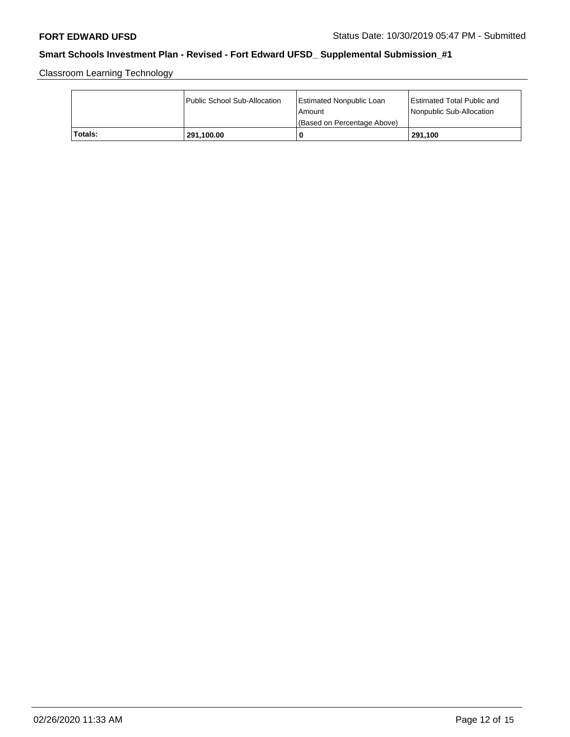Classroom Learning Technology

|         | Public School Sub-Allocation | <b>Estimated Nonpublic Loan</b><br>l Amount<br>(Based on Percentage Above) | <b>Estimated Total Public and</b><br>Nonpublic Sub-Allocation |
|---------|------------------------------|----------------------------------------------------------------------------|---------------------------------------------------------------|
| Totals: | 291,100.00                   | 0                                                                          | 291,100                                                       |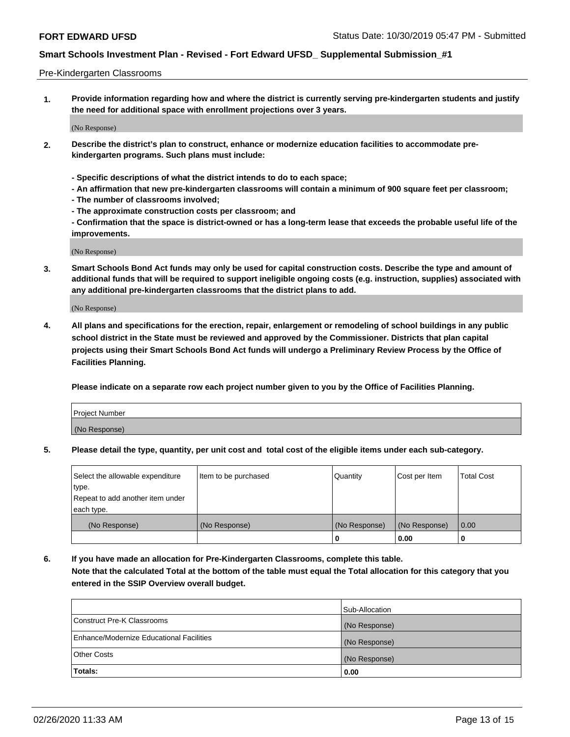#### Pre-Kindergarten Classrooms

**1. Provide information regarding how and where the district is currently serving pre-kindergarten students and justify the need for additional space with enrollment projections over 3 years.**

(No Response)

- **2. Describe the district's plan to construct, enhance or modernize education facilities to accommodate prekindergarten programs. Such plans must include:**
	- **Specific descriptions of what the district intends to do to each space;**
	- **An affirmation that new pre-kindergarten classrooms will contain a minimum of 900 square feet per classroom;**
	- **The number of classrooms involved;**
	- **The approximate construction costs per classroom; and**
	- **Confirmation that the space is district-owned or has a long-term lease that exceeds the probable useful life of the improvements.**

(No Response)

**3. Smart Schools Bond Act funds may only be used for capital construction costs. Describe the type and amount of additional funds that will be required to support ineligible ongoing costs (e.g. instruction, supplies) associated with any additional pre-kindergarten classrooms that the district plans to add.**

(No Response)

**4. All plans and specifications for the erection, repair, enlargement or remodeling of school buildings in any public school district in the State must be reviewed and approved by the Commissioner. Districts that plan capital projects using their Smart Schools Bond Act funds will undergo a Preliminary Review Process by the Office of Facilities Planning.**

**Please indicate on a separate row each project number given to you by the Office of Facilities Planning.**

| Project Number |  |
|----------------|--|
| (No Response)  |  |
|                |  |

**5. Please detail the type, quantity, per unit cost and total cost of the eligible items under each sub-category.**

| Select the allowable expenditure | Item to be purchased | Quantity      | Cost per Item | <b>Total Cost</b> |
|----------------------------------|----------------------|---------------|---------------|-------------------|
| type.                            |                      |               |               |                   |
| Repeat to add another item under |                      |               |               |                   |
| each type.                       |                      |               |               |                   |
| (No Response)                    | (No Response)        | (No Response) | (No Response) | 0.00              |
|                                  |                      | U             | 0.00          |                   |

**6. If you have made an allocation for Pre-Kindergarten Classrooms, complete this table. Note that the calculated Total at the bottom of the table must equal the Total allocation for this category that you entered in the SSIP Overview overall budget.**

|                                          | Sub-Allocation |
|------------------------------------------|----------------|
| Construct Pre-K Classrooms               | (No Response)  |
| Enhance/Modernize Educational Facilities | (No Response)  |
| <b>Other Costs</b>                       | (No Response)  |
| Totals:                                  | 0.00           |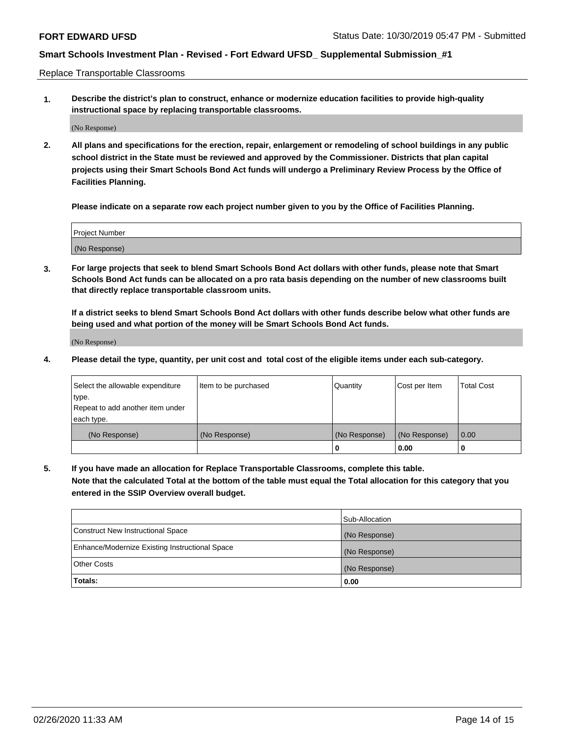Replace Transportable Classrooms

**1. Describe the district's plan to construct, enhance or modernize education facilities to provide high-quality instructional space by replacing transportable classrooms.**

(No Response)

**2. All plans and specifications for the erection, repair, enlargement or remodeling of school buildings in any public school district in the State must be reviewed and approved by the Commissioner. Districts that plan capital projects using their Smart Schools Bond Act funds will undergo a Preliminary Review Process by the Office of Facilities Planning.**

**Please indicate on a separate row each project number given to you by the Office of Facilities Planning.**

| Project Number |  |
|----------------|--|
|                |  |
| (No Response)  |  |

**3. For large projects that seek to blend Smart Schools Bond Act dollars with other funds, please note that Smart Schools Bond Act funds can be allocated on a pro rata basis depending on the number of new classrooms built that directly replace transportable classroom units.**

**If a district seeks to blend Smart Schools Bond Act dollars with other funds describe below what other funds are being used and what portion of the money will be Smart Schools Bond Act funds.**

(No Response)

**4. Please detail the type, quantity, per unit cost and total cost of the eligible items under each sub-category.**

| Select the allowable expenditure | Item to be purchased | Quantity      | Cost per Item | Total Cost |
|----------------------------------|----------------------|---------------|---------------|------------|
| ∣type.                           |                      |               |               |            |
| Repeat to add another item under |                      |               |               |            |
| each type.                       |                      |               |               |            |
| (No Response)                    | (No Response)        | (No Response) | (No Response) | 0.00       |
|                                  |                      | u             | 0.00          |            |

**5. If you have made an allocation for Replace Transportable Classrooms, complete this table. Note that the calculated Total at the bottom of the table must equal the Total allocation for this category that you entered in the SSIP Overview overall budget.**

|                                                | Sub-Allocation |
|------------------------------------------------|----------------|
| Construct New Instructional Space              | (No Response)  |
| Enhance/Modernize Existing Instructional Space | (No Response)  |
| Other Costs                                    | (No Response)  |
| Totals:                                        | 0.00           |